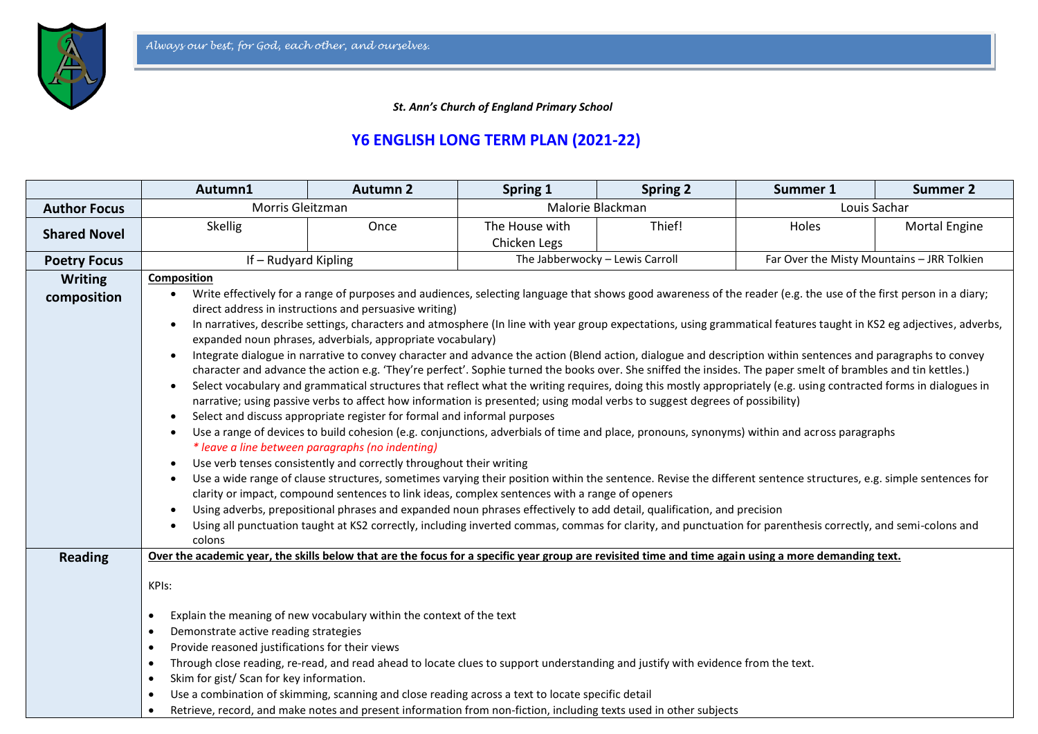

 *St. Ann's Church of England Primary School*

## **Y6 ENGLISH LONG TERM PLAN (2021-22)**

|                               | Autumn1                                                                                                                                                                                                                                                                                                                                                                                                                                                                                                                                                                                                                                                                                                                                                                                                                                                                                                                                                                                                                                                                                                                                                                                                                                                                                                                                                                                                                                                                                                                                                                                                                                                                                                                                                                                                                                                                                                                                                                                                                                                                                                                       | <b>Autumn 2</b>                                                                                                                                                                                                                                                                                                                                                                                                                    | Spring 1                        | <b>Spring 2</b> | Summer 1                                   | <b>Summer 2</b>      |  |
|-------------------------------|-------------------------------------------------------------------------------------------------------------------------------------------------------------------------------------------------------------------------------------------------------------------------------------------------------------------------------------------------------------------------------------------------------------------------------------------------------------------------------------------------------------------------------------------------------------------------------------------------------------------------------------------------------------------------------------------------------------------------------------------------------------------------------------------------------------------------------------------------------------------------------------------------------------------------------------------------------------------------------------------------------------------------------------------------------------------------------------------------------------------------------------------------------------------------------------------------------------------------------------------------------------------------------------------------------------------------------------------------------------------------------------------------------------------------------------------------------------------------------------------------------------------------------------------------------------------------------------------------------------------------------------------------------------------------------------------------------------------------------------------------------------------------------------------------------------------------------------------------------------------------------------------------------------------------------------------------------------------------------------------------------------------------------------------------------------------------------------------------------------------------------|------------------------------------------------------------------------------------------------------------------------------------------------------------------------------------------------------------------------------------------------------------------------------------------------------------------------------------------------------------------------------------------------------------------------------------|---------------------------------|-----------------|--------------------------------------------|----------------------|--|
| <b>Author Focus</b>           | Morris Gleitzman                                                                                                                                                                                                                                                                                                                                                                                                                                                                                                                                                                                                                                                                                                                                                                                                                                                                                                                                                                                                                                                                                                                                                                                                                                                                                                                                                                                                                                                                                                                                                                                                                                                                                                                                                                                                                                                                                                                                                                                                                                                                                                              |                                                                                                                                                                                                                                                                                                                                                                                                                                    | Malorie Blackman                |                 |                                            | Louis Sachar         |  |
| <b>Shared Novel</b>           | <b>Skellig</b>                                                                                                                                                                                                                                                                                                                                                                                                                                                                                                                                                                                                                                                                                                                                                                                                                                                                                                                                                                                                                                                                                                                                                                                                                                                                                                                                                                                                                                                                                                                                                                                                                                                                                                                                                                                                                                                                                                                                                                                                                                                                                                                | Once                                                                                                                                                                                                                                                                                                                                                                                                                               | The House with<br>Chicken Legs  | Thief!          | Holes                                      | <b>Mortal Engine</b> |  |
| <b>Poetry Focus</b>           | If - Rudyard Kipling                                                                                                                                                                                                                                                                                                                                                                                                                                                                                                                                                                                                                                                                                                                                                                                                                                                                                                                                                                                                                                                                                                                                                                                                                                                                                                                                                                                                                                                                                                                                                                                                                                                                                                                                                                                                                                                                                                                                                                                                                                                                                                          |                                                                                                                                                                                                                                                                                                                                                                                                                                    | The Jabberwocky - Lewis Carroll |                 | Far Over the Misty Mountains - JRR Tolkien |                      |  |
| <b>Writing</b><br>composition | Composition<br>Write effectively for a range of purposes and audiences, selecting language that shows good awareness of the reader (e.g. the use of the first person in a diary;<br>direct address in instructions and persuasive writing)<br>In narratives, describe settings, characters and atmosphere (In line with year group expectations, using grammatical features taught in KS2 eg adjectives, adverbs,<br>$\bullet$<br>expanded noun phrases, adverbials, appropriate vocabulary)<br>Integrate dialogue in narrative to convey character and advance the action (Blend action, dialogue and description within sentences and paragraphs to convey<br>$\bullet$<br>character and advance the action e.g. 'They're perfect'. Sophie turned the books over. She sniffed the insides. The paper smelt of brambles and tin kettles.)<br>Select vocabulary and grammatical structures that reflect what the writing requires, doing this mostly appropriately (e.g. using contracted forms in dialogues in<br>$\bullet$<br>narrative; using passive verbs to affect how information is presented; using modal verbs to suggest degrees of possibility)<br>Select and discuss appropriate register for formal and informal purposes<br>٠<br>Use a range of devices to build cohesion (e.g. conjunctions, adverbials of time and place, pronouns, synonyms) within and across paragraphs<br>$\bullet$<br>* leave a line between paragraphs (no indenting)<br>Use verb tenses consistently and correctly throughout their writing<br>$\bullet$<br>Use a wide range of clause structures, sometimes varying their position within the sentence. Revise the different sentence structures, e.g. simple sentences for<br>$\bullet$<br>clarity or impact, compound sentences to link ideas, complex sentences with a range of openers<br>Using adverbs, prepositional phrases and expanded noun phrases effectively to add detail, qualification, and precision<br>Using all punctuation taught at KS2 correctly, including inverted commas, commas for clarity, and punctuation for parenthesis correctly, and semi-colons and |                                                                                                                                                                                                                                                                                                                                                                                                                                    |                                 |                 |                                            |                      |  |
| <b>Reading</b>                | Over the academic year, the skills below that are the focus for a specific year group are revisited time and time again using a more demanding text.<br>KPIs:<br>$\bullet$<br>Demonstrate active reading strategies<br>$\bullet$<br>Provide reasoned justifications for their views<br>$\bullet$<br>$\bullet$<br>Skim for gist/ Scan for key information.<br>$\bullet$<br>$\bullet$<br>$\bullet$                                                                                                                                                                                                                                                                                                                                                                                                                                                                                                                                                                                                                                                                                                                                                                                                                                                                                                                                                                                                                                                                                                                                                                                                                                                                                                                                                                                                                                                                                                                                                                                                                                                                                                                              | Explain the meaning of new vocabulary within the context of the text<br>Through close reading, re-read, and read ahead to locate clues to support understanding and justify with evidence from the text.<br>Use a combination of skimming, scanning and close reading across a text to locate specific detail<br>Retrieve, record, and make notes and present information from non-fiction, including texts used in other subjects |                                 |                 |                                            |                      |  |